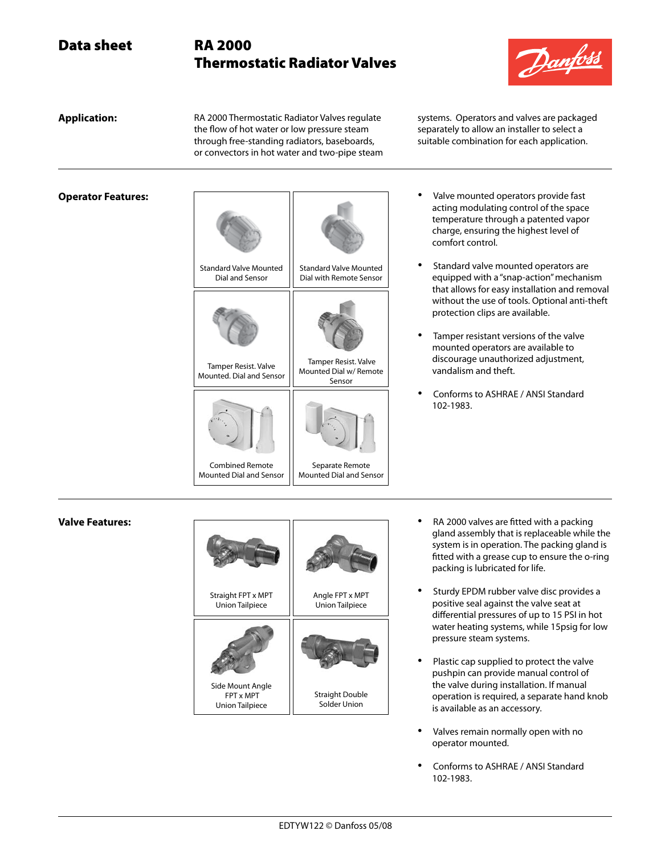# Thermostatic Radiator Valves



**Application:** RA 2000 Thermostatic Radiator Valves regulate the flow of hot water or low pressure steam through free-standing radiators, baseboards, or convectors in hot water and two-pipe steam systems. Operators and valves are packaged separately to allow an installer to select a suitable combination for each application.

| <b>Standard Valve Mounted</b><br>Dial and Sensor         | <b>Standard Valve Mounted</b><br>Dial with Remote Sensor        |
|----------------------------------------------------------|-----------------------------------------------------------------|
|                                                          |                                                                 |
| Tamper Resist. Valve<br>Mounted. Dial and Sensor         | <b>Tamper Resist. Valve</b><br>Mounted Dial w/ Remote<br>Sensor |
|                                                          |                                                                 |
| <b>Combined Remote</b><br><b>Mounted Dial and Sensor</b> | Separate Remote<br><b>Mounted Dial and Sensor</b>               |

- **Operator Features: and Texas Contract operator Features: •** Valve mounted operators provide fast acting modulating control of the space temperature through a patented vapor charge, ensuring the highest level of comfort control.
	- Standard valve mounted operators are equipped with a "snap-action" mechanism that allows for easy installation and removal without the use of tools. Optional anti-theft protection clips are available.
	- Tamper resistant versions of the valve mounted operators are available to discourage unauthorized adjustment, vandalism and theft.
	- • Conforms to ASHRAE / ANSI Standard 102-1983.

### **Valve Features:**



- RA 2000 valves are fitted with a packing gland assembly that is replaceable while the system is in operation. The packing gland is fitted with a grease cup to ensure the o-ring packing is lubricated for life.
- Sturdy EPDM rubber valve disc provides a positive seal against the valve seat at differential pressures of up to 15 PSI in hot water heating systems, while 15psig for low pressure steam systems.
- Plastic cap supplied to protect the valve pushpin can provide manual control of the valve during installation. If manual operation is required, a separate hand knob is available as an accessory.
- Valves remain normally open with no operator mounted.
- Conforms to ASHRAE / ANSI Standard 102-1983.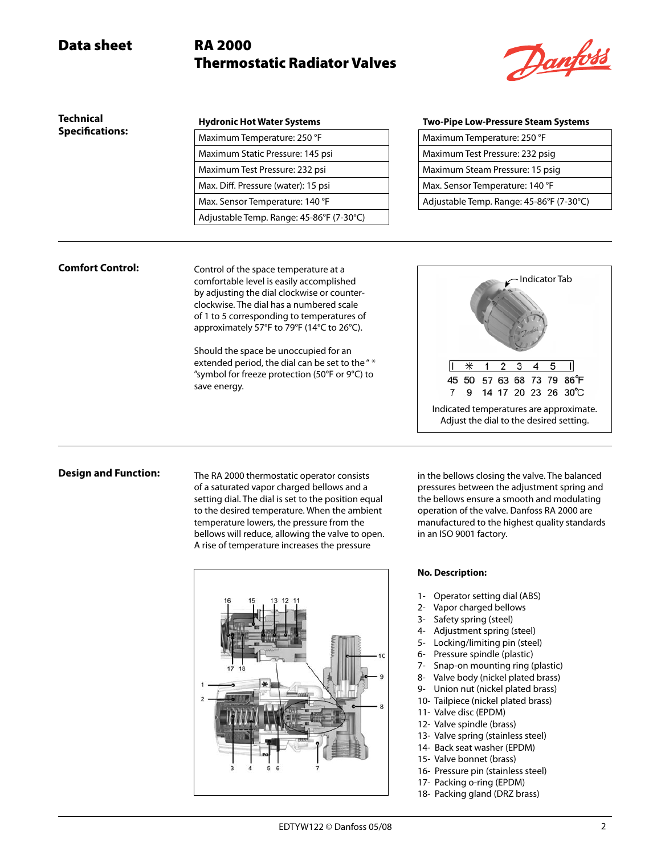# Thermostatic Radiator Valves



| <b>Technical</b>       | <b>Hydronic Hot Water Systems</b>        | <b>Two-Pipe Low-Pressure Steam Systems</b> |
|------------------------|------------------------------------------|--------------------------------------------|
| <b>Specifications:</b> | Maximum Temperature: 250 °F              | Maximum Temperature: 250 °F                |
|                        | Maximum Static Pressure: 145 psi         | Maximum Test Pressure: 232 psig            |
|                        | Maximum Test Pressure: 232 psi           | Maximum Steam Pressure: 15 psig            |
|                        | Max. Diff. Pressure (water): 15 psi      | Max. Sensor Temperature: 140 °F            |
|                        | Max. Sensor Temperature: 140 °F          | Adjustable Temp. Range: 45-86°F (7-30°C)   |
|                        | Adjustable Temp. Range: 45-86°F (7-30°C) |                                            |

| Maximum Temperature: 250 °F              |
|------------------------------------------|
| Maximum Test Pressure: 232 psig          |
| Maximum Steam Pressure: 15 psig          |
| Max. Sensor Temperature: 140 °F          |
| Adjustable Temp. Range: 45-86°F (7-30°C) |
|                                          |

### **Comfort Control:**

Control of the space temperature at a comfortable level is easily accomplished by adjusting the dial clockwise or counterclockwise. The dial has a numbered scale of 1 to 5 corresponding to temperatures of approximately 57°F to 79°F (14°C to 26°C).

Should the space be unoccupied for an extended period, the dial can be set to the "\* "symbol for freeze protection (50°F or 9°C) to save energy.



### **Design and Function:**

The RA 2000 thermostatic operator consists of a saturated vapor charged bellows and a setting dial. The dial is set to the position equal to the desired temperature. When the ambient temperature lowers, the pressure from the bellows will reduce, allowing the valve to open. A rise of temperature increases the pressure



in the bellows closing the valve. The balanced pressures between the adjustment spring and the bellows ensure a smooth and modulating operation of the valve. Danfoss RA 2000 are manufactured to the highest quality standards in an ISO 9001 factory.

#### **No. Description:**

- 1- Operator setting dial (ABS)
- 2- Vapor charged bellows
- 3- Safety spring (steel)
- 4- Adjustment spring (steel)
- 5- Locking/limiting pin (steel)
- 6- Pressure spindle (plastic)
- 7- Snap-on mounting ring (plastic)
- 8- Valve body (nickel plated brass)
- 9- Union nut (nickel plated brass)
- 10- Tailpiece (nickel plated brass) 11- Valve disc (EPDM)
- 12- Valve spindle (brass)
- 13- Valve spring (stainless steel)
- 14- Back seat washer (EPDM)
- 15- Valve bonnet (brass)
- 16- Pressure pin (stainless steel)
- 17- Packing o-ring (EPDM)
- 18- Packing gland (DRZ brass)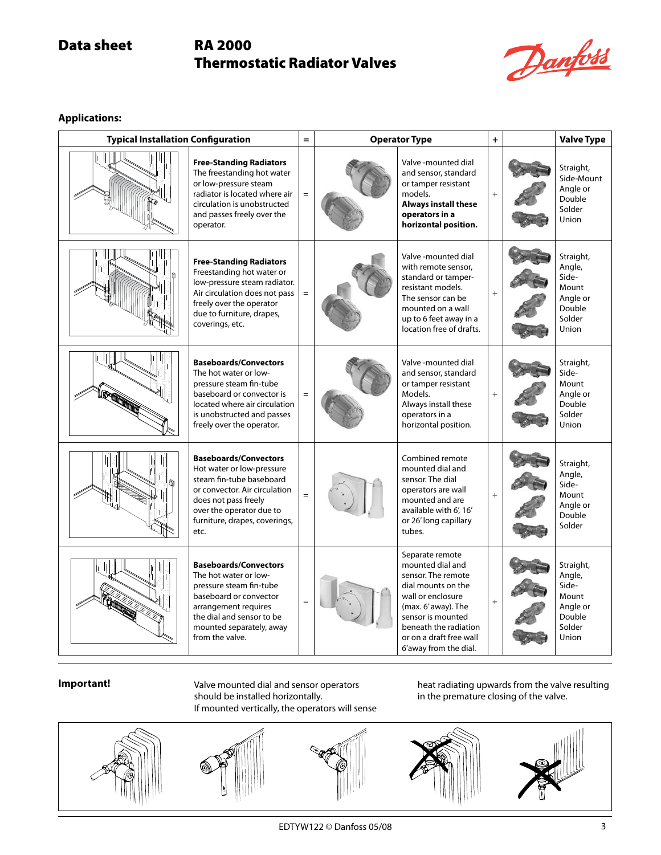# Thermostatic Radiator Valves



**Applications:**

| <b>Typical Installation Configuration</b> |                                                                                                                                                                                                                     | $=$ | <b>Operator Type</b> |                                                                                                                                                                                                                               | $\ddot{}$ | <b>Valve Type</b>                                                              |
|-------------------------------------------|---------------------------------------------------------------------------------------------------------------------------------------------------------------------------------------------------------------------|-----|----------------------|-------------------------------------------------------------------------------------------------------------------------------------------------------------------------------------------------------------------------------|-----------|--------------------------------------------------------------------------------|
|                                           | <b>Free-Standing Radiators</b><br>The freestanding hot water<br>or low-pressure steam<br>radiator is located where air<br>circulation is unobstructed<br>and passes freely over the<br>operator.                    |     |                      | Valve-mounted dial<br>and sensor, standard<br>or tamper resistant<br>models.<br><b>Always install these</b><br>operators in a<br>horizontal position.                                                                         | $+$       | Straight,<br>Side-Mount<br>Angle or<br>Double<br>Solder<br><b>Union</b>        |
|                                           | <b>Free-Standing Radiators</b><br>Freestanding hot water or<br>low-pressure steam radiator.<br>Air circulation does not pass<br>freely over the operator<br>due to furniture, drapes,<br>coverings, etc.            |     |                      | Valve -mounted dial<br>with remote sensor,<br>standard or tamper-<br>resistant models.<br>The sensor can be<br>mounted on a wall<br>up to 6 feet away in a<br>location free of drafts.                                        | $^{+}$    | Straight,<br>Angle,<br>Side-<br>Mount<br>Angle or<br>Double<br>Solder<br>Union |
|                                           | <b>Baseboards/Convectors</b><br>The hot water or low-<br>pressure steam fin-tube<br>baseboard or convector is<br>located where air circulation<br>is unobstructed and passes<br>freely over the operator.           |     |                      | Valve -mounted dial<br>and sensor, standard<br>or tamper resistant<br>Models.<br>Always install these<br>operators in a<br>horizontal position.                                                                               |           | Straight,<br>Side-<br>Mount<br>Angle or<br>Double<br>Solder<br>Union           |
|                                           | <b>Baseboards/Convectors</b><br>Hot water or low-pressure<br>steam fin-tube baseboard<br>or convector. Air circulation<br>does not pass freely<br>over the operator due to<br>furniture, drapes, coverings,<br>etc. |     |                      | Combined remote<br>mounted dial and<br>sensor. The dial<br>operators are wall<br>mounted and are<br>available with 6', 16'<br>or 26' long capillary<br>tubes.                                                                 | $+$       | Straight,<br>Angle,<br>Side-<br>Mount<br>Angle or<br>Double<br>Solder          |
|                                           | <b>Baseboards/Convectors</b><br>The hot water or low-<br>pressure steam fin-tube<br>baseboard or convector<br>arrangement requires<br>the dial and sensor to be<br>mounted separately, away<br>from the valve.      |     |                      | Separate remote<br>mounted dial and<br>sensor. The remote<br>dial mounts on the<br>wall or enclosure<br>(max. 6' away). The<br>sensor is mounted<br>beneath the radiation<br>or on a draft free wall<br>6'away from the dial. | $^{+}$    | Straight,<br>Angle,<br>Side-<br>Mount<br>Angle or<br>Double<br>Solder<br>Union |

### **Important!**

Valve mounted dial and sensor operators should be installed horizontally. If mounted vertically, the operators will sense heat radiating upwards from the valve resulting in the premature closing of the valve.

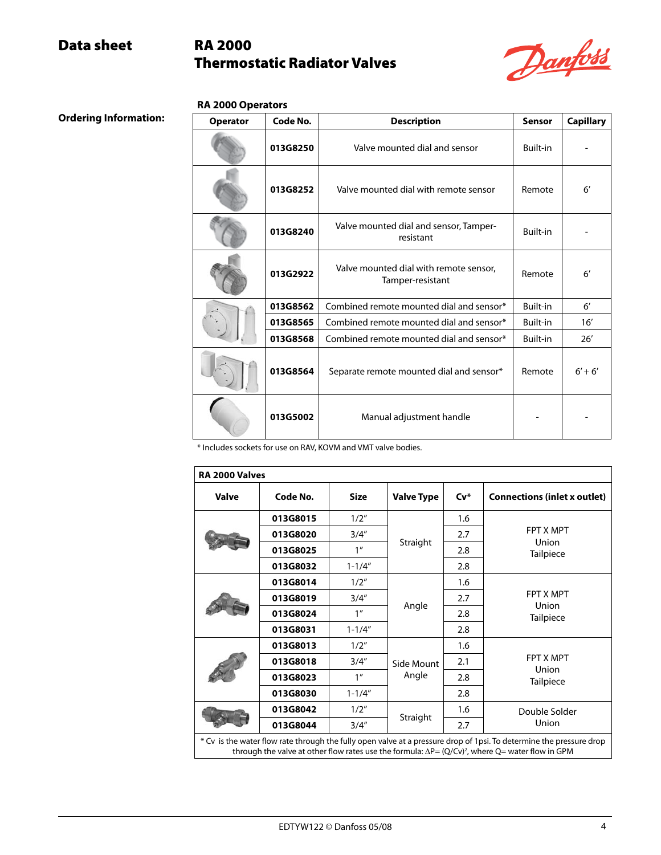# Thermostatic Radiator Valves



### **RA 2000 Operators**

**Ordering Information:**

| <b>Operator</b> | Code No. | <b>Description</b>                                         | <b>Sensor</b>   | <b>Capillary</b> |
|-----------------|----------|------------------------------------------------------------|-----------------|------------------|
|                 | 013G8250 | Valve mounted dial and sensor                              | <b>Built-in</b> |                  |
|                 | 013G8252 | Valve mounted dial with remote sensor                      | Remote          | $6^{\prime}$     |
|                 | 013G8240 | Valve mounted dial and sensor, Tamper-<br>resistant        | Built-in        |                  |
|                 | 013G2922 | Valve mounted dial with remote sensor,<br>Tamper-resistant | Remote          | $6^{\prime}$     |
|                 | 013G8562 | Combined remote mounted dial and sensor*                   | Built-in        | $6^{\prime}$     |
|                 | 013G8565 | Combined remote mounted dial and sensor*                   | Built-in        | 16'              |
|                 | 013G8568 | Combined remote mounted dial and sensor*                   | Built-in        | 26'              |
| 013G8564        |          | Separate remote mounted dial and sensor*                   | Remote          | $6' + 6'$        |
|                 | 013G5002 | Manual adjustment handle                                   |                 |                  |

\* Includes sockets for use on RAV, KOVM and VMT valve bodies.

| <b>Valve</b> | Code No. | <b>Size</b>     | <b>Valve Type</b> | $Cv^*$ | <b>Connections (inlet x outlet)</b> |
|--------------|----------|-----------------|-------------------|--------|-------------------------------------|
|              | 013G8015 | 1/2"            |                   | 1.6    |                                     |
|              | 013G8020 | 3/4''           |                   | 2.7    | <b>FPT X MPT</b>                    |
|              | 013G8025 | 1 <sup>''</sup> | Straight          | 2.8    | Union<br>Tailpiece                  |
|              | 013G8032 | $1 - 1/4"$      |                   | 2.8    |                                     |
|              | 013G8014 | 1/2"            |                   | 1.6    |                                     |
|              | 013G8019 | 3/4''           | Angle             | 2.7    | <b>FPT X MPT</b>                    |
|              | 013G8024 | 1 <sup>''</sup> |                   | 2.8    | Union<br><b>Tailpiece</b>           |
|              | 013G8031 | $1 - 1/4"$      |                   | 2.8    |                                     |
|              | 013G8013 | 1/2"            |                   | 1.6    |                                     |
|              | 013G8018 | 3/4''           | Side Mount        | 2.1    | <b>FPT X MPT</b>                    |
|              | 013G8023 | 1 <sup>''</sup> | Angle<br>2.8      |        | Union<br>Tailpiece                  |
|              | 013G8030 | $1 - 1/4"$      |                   | 2.8    |                                     |
|              | 013G8042 | 1/2"            |                   | 1.6    | Double Solder                       |
|              | 013G8044 | 3/4''           | Straight          | 2.7    | Union                               |

through the valve at other flow rates use the formula: ∆P= (Q/Cv)<sup>2</sup>, where Q= water flow in GPM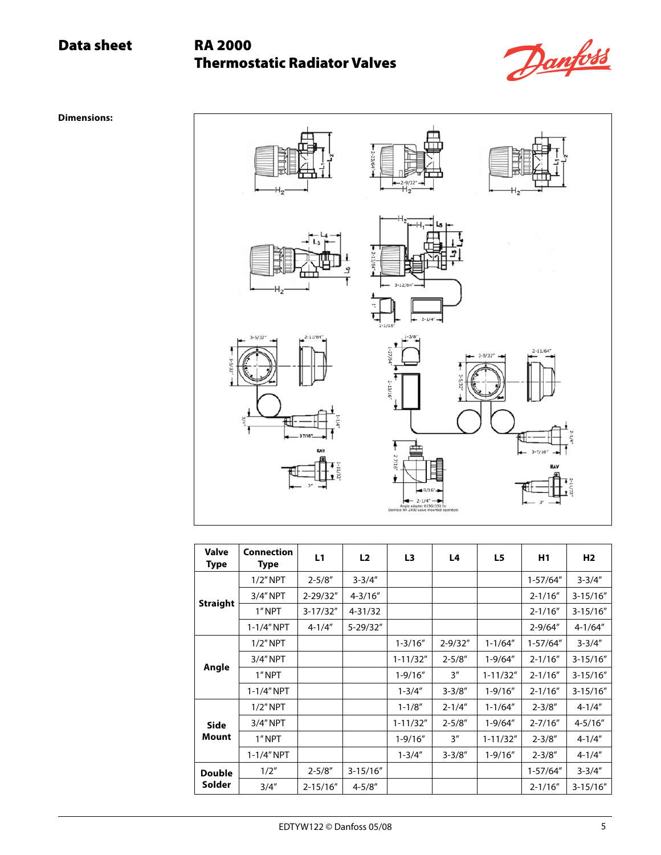# Thermostatic Radiator Valves



**Dimensions:**



| Valve<br>Type | Connection<br><b>Type</b> | L1            | L2           | L3           | L4          | L5           | H1           | H <sub>2</sub> |
|---------------|---------------------------|---------------|--------------|--------------|-------------|--------------|--------------|----------------|
|               | $1/2$ " NPT               | $2 - 5/8"$    | $3 - 3/4"$   |              |             |              | $1-57/64"$   | $3 - 3/4"$     |
|               | 3/4" NPT                  | $2 - 29/32"$  | $4 - 3/16''$ |              |             |              | $2 - 1/16''$ | $3 - 15/16''$  |
| Straight      | 1"NPT                     | $3-17/32"$    | $4 - 31/32$  |              |             |              | $2 - 1/16''$ | $3 - 15/16''$  |
|               | $1 - 1/4''$ NPT           | $4 - 1/4"$    | 5-29/32"     |              |             |              | $2 - 9/64''$ | $4 - 1/64"$    |
|               | $1/2$ " NPT               |               |              | $1 - 3/16"$  | $2 - 9/32"$ | $1 - 1/64"$  | $1-57/64"$   | $3 - 3/4"$     |
|               | 3/4" NPT                  |               |              | $1 - 11/32"$ | $2 - 5/8"$  | $1 - 9/64"$  | $2 - 1/16''$ | $3-15/16"$     |
| Angle         | 1"NPT                     |               |              | $1 - 9/16''$ | 3''         | $1 - 11/32"$ | $2 - 1/16''$ | $3-15/16"$     |
|               | 1-1/4" NPT                |               |              | $1 - 3/4"$   | $3 - 3/8"$  | $1 - 9/16"$  | $2 - 1/16''$ | $3-15/16"$     |
|               | $1/2$ " NPT               |               |              | $1 - 1/8"$   | $2 - 1/4"$  | $1 - 1/64"$  | $2 - 3/8"$   | $4 - 1/4"$     |
| <b>Side</b>   | 3/4" NPT                  |               |              | $1 - 11/32"$ | $2 - 5/8"$  | $1 - 9/64''$ | $2 - 7/16''$ | $4 - 5/16''$   |
| Mount         | 1" NPT                    |               |              | $1 - 9/16''$ | 3''         | $1 - 11/32"$ | $2 - 3/8"$   | $4 - 1/4"$     |
|               | 1-1/4" NPT                |               |              | $1 - 3/4"$   | $3 - 3/8"$  | $1 - 9/16"$  | $2 - 3/8"$   | $4 - 1/4"$     |
| <b>Double</b> | 1/2"                      | $2 - 5/8"$    | $3-15/16"$   |              |             |              | 1-57/64"     | $3 - 3/4"$     |
| Solder        | 3/4''                     | $2 - 15/16''$ | $4 - 5/8"$   |              |             |              | $2 - 1/16''$ | $3-15/16"$     |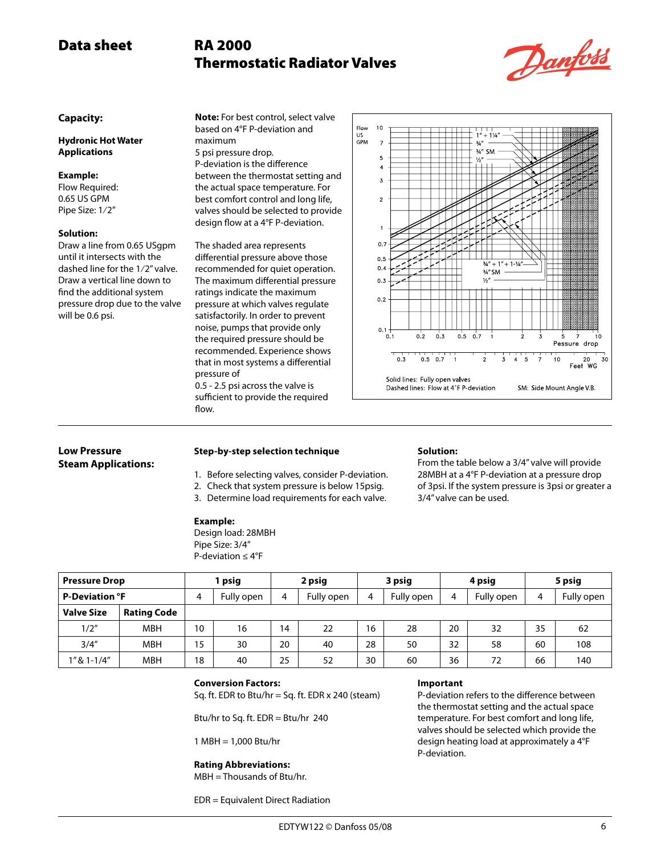# Thermostatic Radiator Valves



### **Capacity:**

**Hydronic Hot Water Applications**

### **Example:**

Flow Required: 0.65 US GPM Pipe Size: 1⁄2"

### **Solution:**

Draw a line from 0.65 USgpm until it intersects with the dashed line for the 1⁄2" valve. Draw a vertical line down to find the additional system pressure drop due to the valve will be 0.6 psi.

**Note:** For best control, select valve based on 4°F P-deviation and maximum 5 psi pressure drop. P-deviation is the difference between the thermostat setting and the actual space temperature. For best comfort control and long life, valves should be selected to provide design flow at a 4°F P-deviation.

The shaded area represents differential pressure above those recommended for quiet operation. The maximum differential pressure ratings indicate the maximum pressure at which valves regulate satisfactorily. In order to prevent noise, pumps that provide only the required pressure should be recommended. Experience shows that in most systems a differential pressure of 0.5 - 2.5 psi across the valve is sufficient to provide the required



### **Low Pressure Steam Applications:**

### **Step-by-step selection technique**

- 1. Before selecting valves, consider P-deviation.
- 2. Check that system pressure is below 15psig.
- 3. Determine load requirements for each valve.

### **Example:**

flow.

Design load: 28MBH Pipe Size: 3/4" P-deviation ≤ 4°F

### **Solution:**

From the table below a 3/4" valve will provide 28MBH at a 4°F P-deviation at a pressure drop of 3psi. If the system pressure is 3psi or greater a 3/4" valve can be used.

| <b>Pressure Drop</b>  |                    |    | psig       | 2 psig |            | 3 psig |            | 4 psig |            | 5 psig |            |
|-----------------------|--------------------|----|------------|--------|------------|--------|------------|--------|------------|--------|------------|
| <b>P-Deviation °F</b> |                    | 4  | Fully open | 4      | Fully open | 4      | Fully open | 4      | Fully open | 4      | Fully open |
| <b>Valve Size</b>     | <b>Rating Code</b> |    |            |        |            |        |            |        |            |        |            |
| 1/2"                  | <b>MBH</b>         | 10 | 16         | 14     | 22         | 16     | 28         | 20     | 32         | 35     | 62         |
| 3/4''                 | <b>MBH</b>         | 15 | 30         | 20     | 40         | 28     | 50         | 32     | 58         | 60     | 108        |
| 1" & 1-1/4"           | <b>MBH</b>         | 18 | 40         | 25     | 52         | 30     | 60         | 36     | 72         | 66     | 140        |

### **Conversion Factors:**

Sq. ft. EDR to Btu/hr = Sq. ft. EDR  $x$  240 (steam)

Btu/hr to Sq. ft. EDR = Btu/hr 240

1 MBH = 1,000 Btu/hr

#### **Rating Abbreviations:**

MBH = Thousands of Btu/hr.

EDR = Equivalent Direct Radiation

#### **Important**

P-deviation refers to the difference between the thermostat setting and the actual space temperature. For best comfort and long life, valves should be selected which provide the design heating load at approximately a 4°F P-deviation.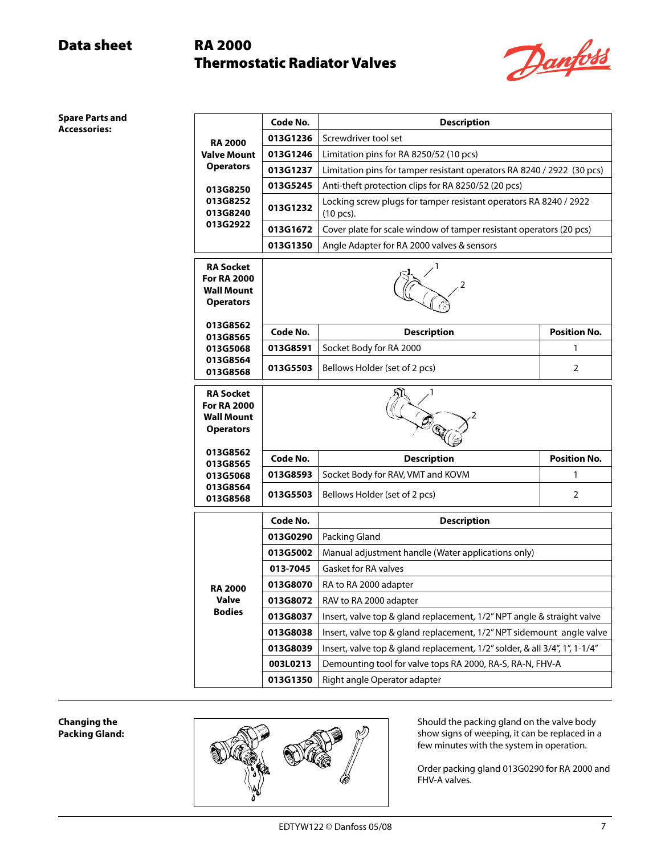# Thermostatic Radiator Valves



**Spare Parts and Accessories:**

|                                                                          | Code No. | <b>Description</b>                                                             |                     |  |  |  |  |  |
|--------------------------------------------------------------------------|----------|--------------------------------------------------------------------------------|---------------------|--|--|--|--|--|
| <b>RA 2000</b>                                                           | 013G1236 | Screwdriver tool set                                                           |                     |  |  |  |  |  |
| Valve Mount                                                              | 013G1246 | Limitation pins for RA 8250/52 (10 pcs)                                        |                     |  |  |  |  |  |
| <b>Operators</b>                                                         | 013G1237 | Limitation pins for tamper resistant operators RA 8240 / 2922 (30 pcs)         |                     |  |  |  |  |  |
| 013G8250                                                                 | 013G5245 | Anti-theft protection clips for RA 8250/52 (20 pcs)                            |                     |  |  |  |  |  |
| 013G8252<br>013G8240                                                     | 013G1232 | Locking screw plugs for tamper resistant operators RA 8240 / 2922<br>(10 pcs). |                     |  |  |  |  |  |
| 013G2922                                                                 | 013G1672 | Cover plate for scale window of tamper resistant operators (20 pcs)            |                     |  |  |  |  |  |
|                                                                          | 013G1350 | Angle Adapter for RA 2000 valves & sensors                                     |                     |  |  |  |  |  |
| RA Socket<br><b>For RA 2000</b><br><b>Wall Mount</b><br><b>Operators</b> | 2        |                                                                                |                     |  |  |  |  |  |
| 013G8562<br>013G8565                                                     | Code No. | <b>Description</b>                                                             | <b>Position No.</b> |  |  |  |  |  |
| 013G5068                                                                 | 013G8591 | Socket Body for RA 2000                                                        | 1                   |  |  |  |  |  |
| 013G8564<br>013G8568                                                     | 013G5503 | Bellows Holder (set of 2 pcs)                                                  |                     |  |  |  |  |  |
| RA Socket<br><b>For RA 2000</b><br><b>Wall Mount</b><br><b>Operators</b> |          |                                                                                |                     |  |  |  |  |  |
| 013G8562<br>013G8565                                                     | Code No. | <b>Description</b>                                                             | <b>Position No.</b> |  |  |  |  |  |
| 013G5068                                                                 | 013G8593 | Socket Body for RAV, VMT and KOVM                                              | 1                   |  |  |  |  |  |
| 013G8564<br>013G8568                                                     | 013G5503 | Bellows Holder (set of 2 pcs)                                                  | 2                   |  |  |  |  |  |
|                                                                          | Code No. | <b>Description</b>                                                             |                     |  |  |  |  |  |
|                                                                          | 013G0290 | Packing Gland                                                                  |                     |  |  |  |  |  |
|                                                                          | 013G5002 | Manual adjustment handle (Water applications only)                             |                     |  |  |  |  |  |
|                                                                          | 013-7045 | <b>Gasket for RA valves</b>                                                    |                     |  |  |  |  |  |
| <b>RA 2000</b>                                                           | 013G8070 | RA to RA 2000 adapter                                                          |                     |  |  |  |  |  |
| Valve                                                                    | 013G8072 | RAV to RA 2000 adapter                                                         |                     |  |  |  |  |  |
| <b>Bodies</b>                                                            | 013G8037 | Insert, valve top & gland replacement, 1/2" NPT angle & straight valve         |                     |  |  |  |  |  |
|                                                                          | 013G8038 | Insert, valve top & gland replacement, 1/2" NPT sidemount angle valve          |                     |  |  |  |  |  |
|                                                                          | 013G8039 | Insert, valve top & gland replacement, 1/2" solder, & all 3/4", 1", 1-1/4"     |                     |  |  |  |  |  |
|                                                                          | 003L0213 | Demounting tool for valve tops RA 2000, RA-S, RA-N, FHV-A                      |                     |  |  |  |  |  |
|                                                                          | 013G1350 | Right angle Operator adapter                                                   |                     |  |  |  |  |  |

**Changing the Packing Gland:**



Should the packing gland on the valve body show signs of weeping, it can be replaced in a few minutes with the system in operation.

Order packing gland 013G0290 for RA 2000 and FHV-A valves.